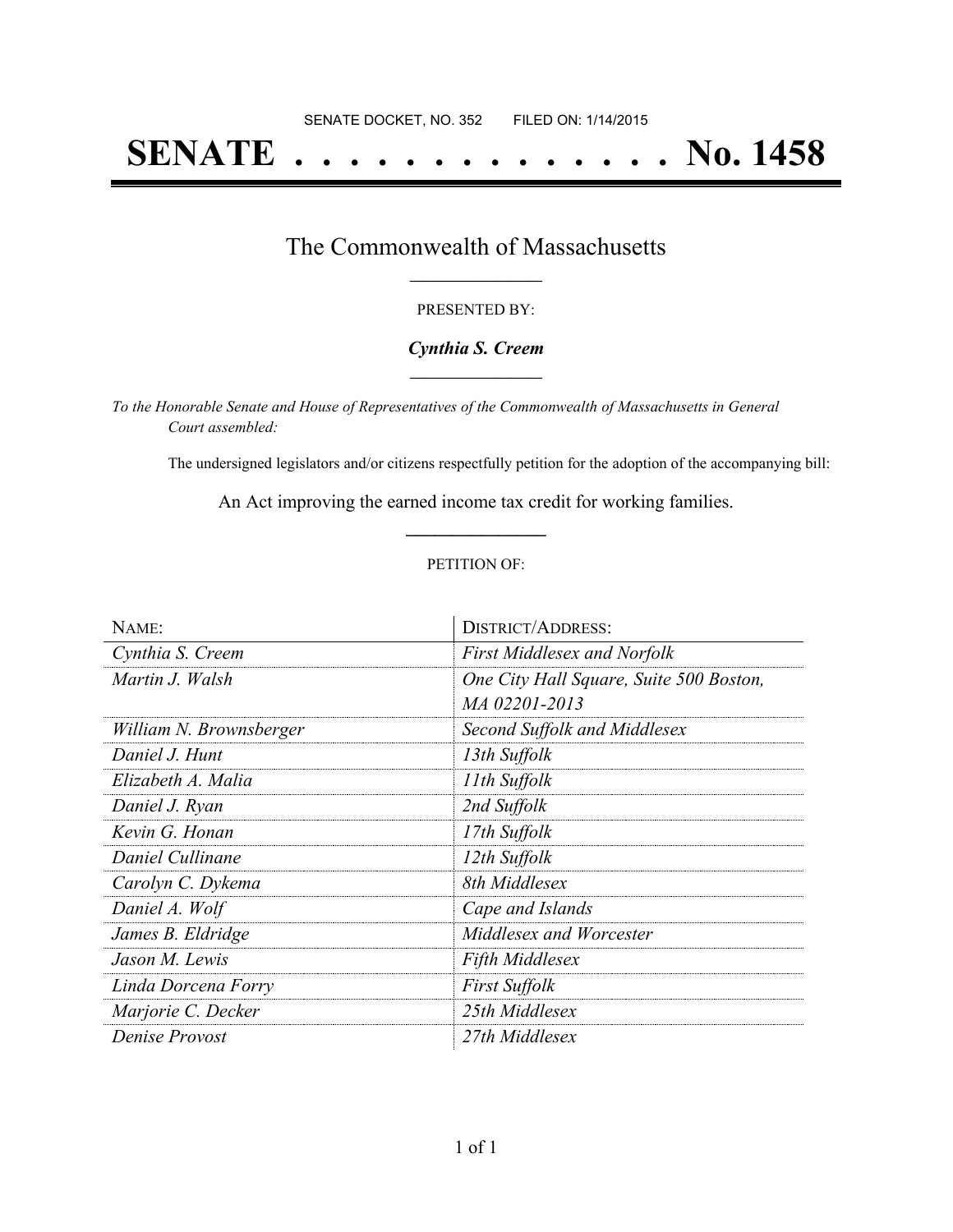# **SENATE . . . . . . . . . . . . . . No. 1458**

## The Commonwealth of Massachusetts **\_\_\_\_\_\_\_\_\_\_\_\_\_\_\_\_\_**

#### PRESENTED BY:

#### *Cynthia S. Creem* **\_\_\_\_\_\_\_\_\_\_\_\_\_\_\_\_\_**

*To the Honorable Senate and House of Representatives of the Commonwealth of Massachusetts in General Court assembled:*

The undersigned legislators and/or citizens respectfully petition for the adoption of the accompanying bill:

An Act improving the earned income tax credit for working families. **\_\_\_\_\_\_\_\_\_\_\_\_\_\_\_**

#### PETITION OF:

| NAME:                   | <b>DISTRICT/ADDRESS:</b>                |
|-------------------------|-----------------------------------------|
| Cynthia S. Creem        | <b>First Middlesex and Norfolk</b>      |
| Martin J. Walsh         | One City Hall Square, Suite 500 Boston, |
|                         | MA 02201-2013                           |
| William N. Brownsberger | Second Suffolk and Middlesex            |
| Daniel J. Hunt          | 13th Suffolk                            |
| Elizabeth A. Malia      | 11th Suffolk                            |
| Daniel J. Ryan          | 2nd Suffolk                             |
| Kevin G. Honan          | 17th Suffolk                            |
| Daniel Cullinane        | 12th Suffolk                            |
| Carolyn C. Dykema       | 8th Middlesex                           |
| Daniel A. Wolf          | Cape and Islands                        |
| James B. Eldridge       | Middlesex and Worcester                 |
| Jason M. Lewis          | <b>Fifth Middlesex</b>                  |
| Linda Dorcena Forry     | <b>First Suffolk</b>                    |
| Marjorie C. Decker      | 25th Middlesex                          |
| Denise Provost          | 27th Middlesex                          |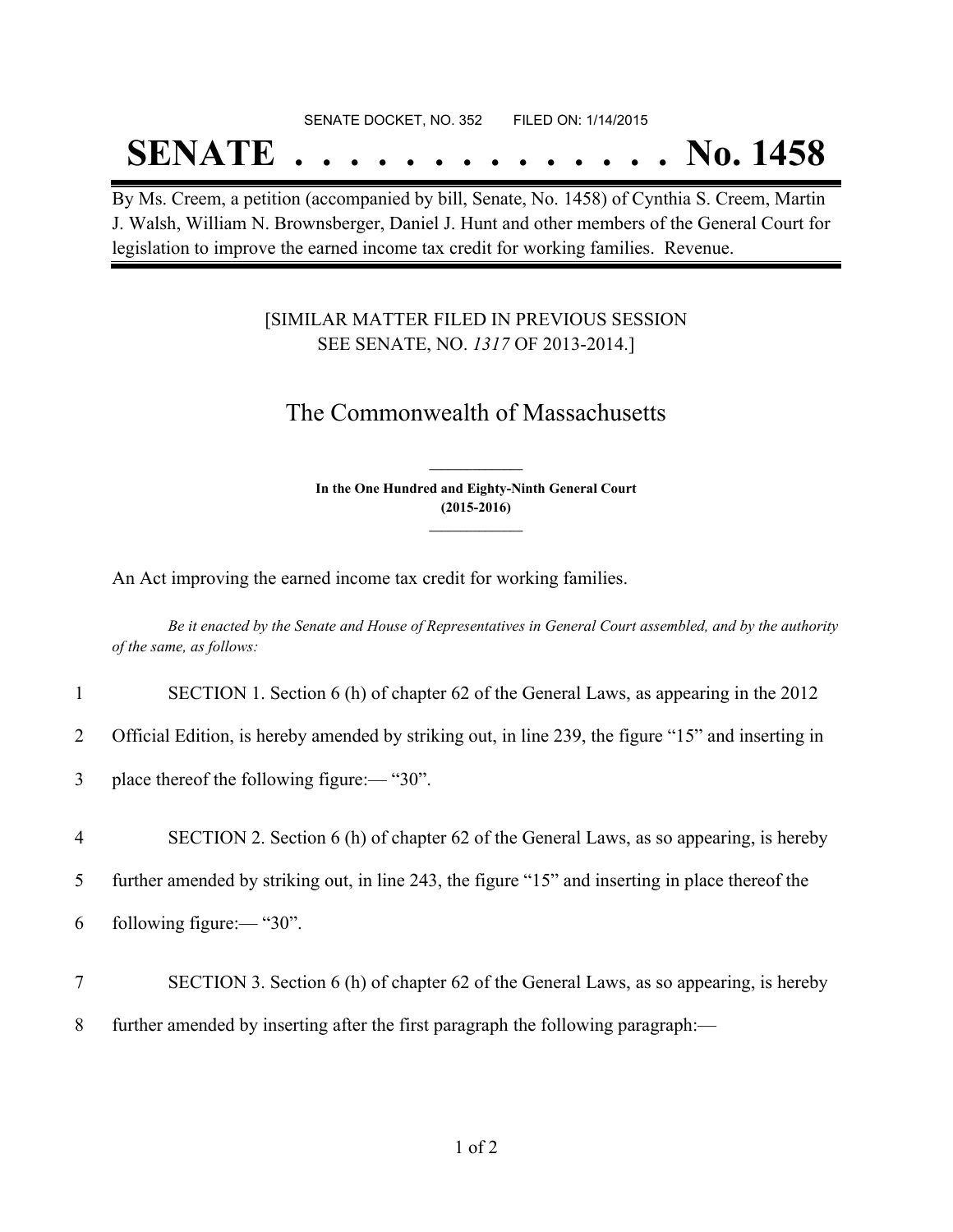#### SENATE DOCKET, NO. 352 FILED ON: 1/14/2015

## **SENATE . . . . . . . . . . . . . . No. 1458**

By Ms. Creem, a petition (accompanied by bill, Senate, No. 1458) of Cynthia S. Creem, Martin J. Walsh, William N. Brownsberger, Daniel J. Hunt and other members of the General Court for legislation to improve the earned income tax credit for working families. Revenue.

### [SIMILAR MATTER FILED IN PREVIOUS SESSION SEE SENATE, NO. *1317* OF 2013-2014.]

## The Commonwealth of Massachusetts

**In the One Hundred and Eighty-Ninth General Court (2015-2016) \_\_\_\_\_\_\_\_\_\_\_\_\_\_\_**

**\_\_\_\_\_\_\_\_\_\_\_\_\_\_\_**

An Act improving the earned income tax credit for working families.

Be it enacted by the Senate and House of Representatives in General Court assembled, and by the authority *of the same, as follows:*

| $\mathbf{1}$   | SECTION 1. Section 6 (h) of chapter 62 of the General Laws, as appearing in the 2012               |
|----------------|----------------------------------------------------------------------------------------------------|
| $\overline{2}$ | Official Edition, is hereby amended by striking out, in line 239, the figure "15" and inserting in |
| $\mathfrak{Z}$ | place thereof the following figure:— " $30$ ".                                                     |
| $\overline{4}$ | SECTION 2. Section 6 (h) of chapter 62 of the General Laws, as so appearing, is hereby             |
| 5 <sup>1</sup> | further amended by striking out, in line 243, the figure "15" and inserting in place thereof the   |
| 6              | following figure:— $"30"$ .                                                                        |
| $\overline{7}$ | SECTION 3. Section 6 (h) of chapter 62 of the General Laws, as so appearing, is hereby             |
|                |                                                                                                    |

8 further amended by inserting after the first paragraph the following paragraph:—